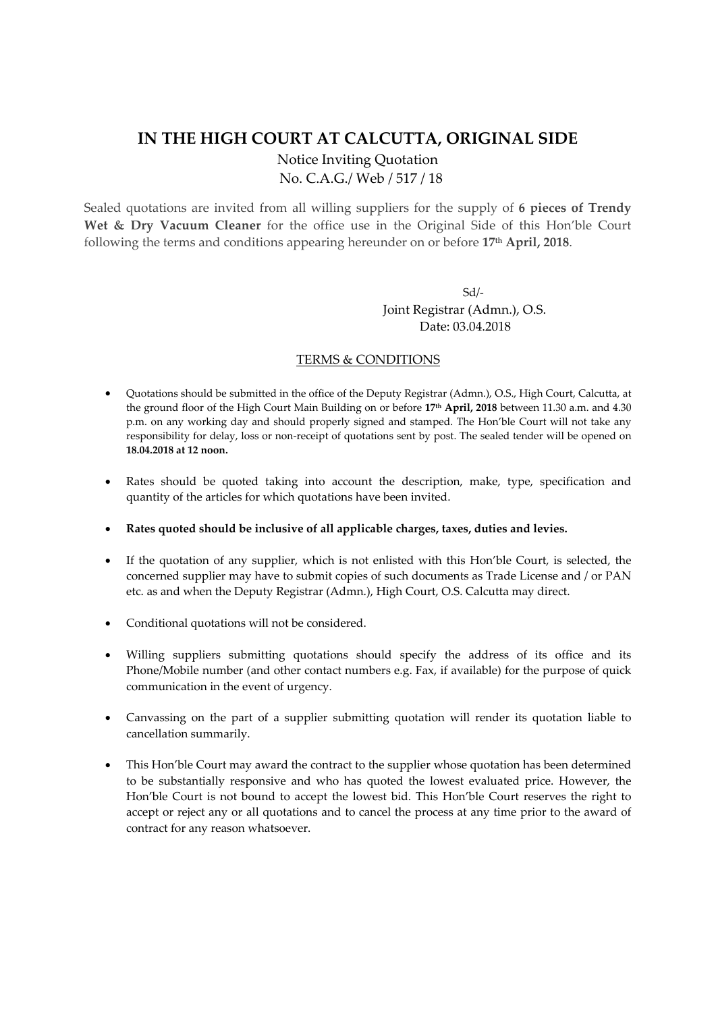## **IN THE HIGH COURT AT CALCUTTA, ORIGINAL SIDE**

Notice Inviting Quotation No. C.A.G./ Web / 517 / 18

Sealed quotations are invited from all willing suppliers for the supply of **6 pieces of Trendy Wet & Dry Vacuum Cleaner** for the office use in the Original Side of this Hon'ble Court following the terms and conditions appearing hereunder on or before **17th April, 2018**.

 Sd/‐ Joint Registrar (Admn.), O.S. Date: 03.04.2018

## TERMS & CONDITIONS

- Quotations should be submitted in the office of the Deputy Registrar (Admn.), O.S., High Court, Calcutta, at the ground floor of the High Court Main Building on or before **17th April, 2018** between 11.30 a.m. and 4.30 p.m. on any working day and should properly signed and stamped. The Hon'ble Court will not take any responsibility for delay, loss or non-receipt of quotations sent by post. The sealed tender will be opened on **18.04.2018 at 12 noon.**
- Rates should be quoted taking into account the description, make, type, specification and quantity of the articles for which quotations have been invited.
- **Rates quoted should be inclusive of all applicable charges, taxes, duties and levies.**
- If the quotation of any supplier, which is not enlisted with this Hon'ble Court, is selected, the concerned supplier may have to submit copies of such documents as Trade License and / or PAN etc. as and when the Deputy Registrar (Admn.), High Court, O.S. Calcutta may direct.
- Conditional quotations will not be considered.
- Willing suppliers submitting quotations should specify the address of its office and its Phone/Mobile number (and other contact numbers e.g. Fax, if available) for the purpose of quick communication in the event of urgency.
- Canvassing on the part of a supplier submitting quotation will render its quotation liable to cancellation summarily.
- This Hon'ble Court may award the contract to the supplier whose quotation has been determined to be substantially responsive and who has quoted the lowest evaluated price. However, the Hon'ble Court is not bound to accept the lowest bid. This Hon'ble Court reserves the right to accept or reject any or all quotations and to cancel the process at any time prior to the award of contract for any reason whatsoever.